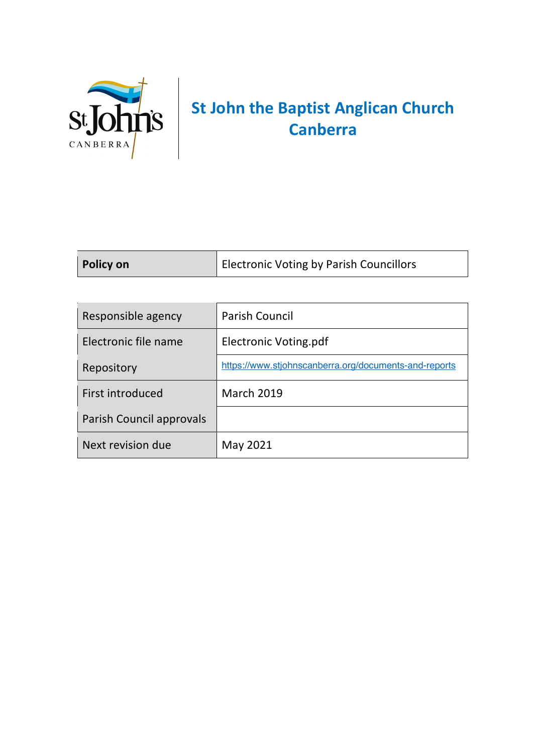

## **St John the Baptist Anglican Church Canberra**

| Responsible agency       | <b>Parish Council</b>                                 |
|--------------------------|-------------------------------------------------------|
| Electronic file name     | Electronic Voting.pdf                                 |
| Repository               | https://www.stjohnscanberra.org/documents-and-reports |
| First introduced         | <b>March 2019</b>                                     |
| Parish Council approvals |                                                       |
| Next revision due        | May 2021                                              |